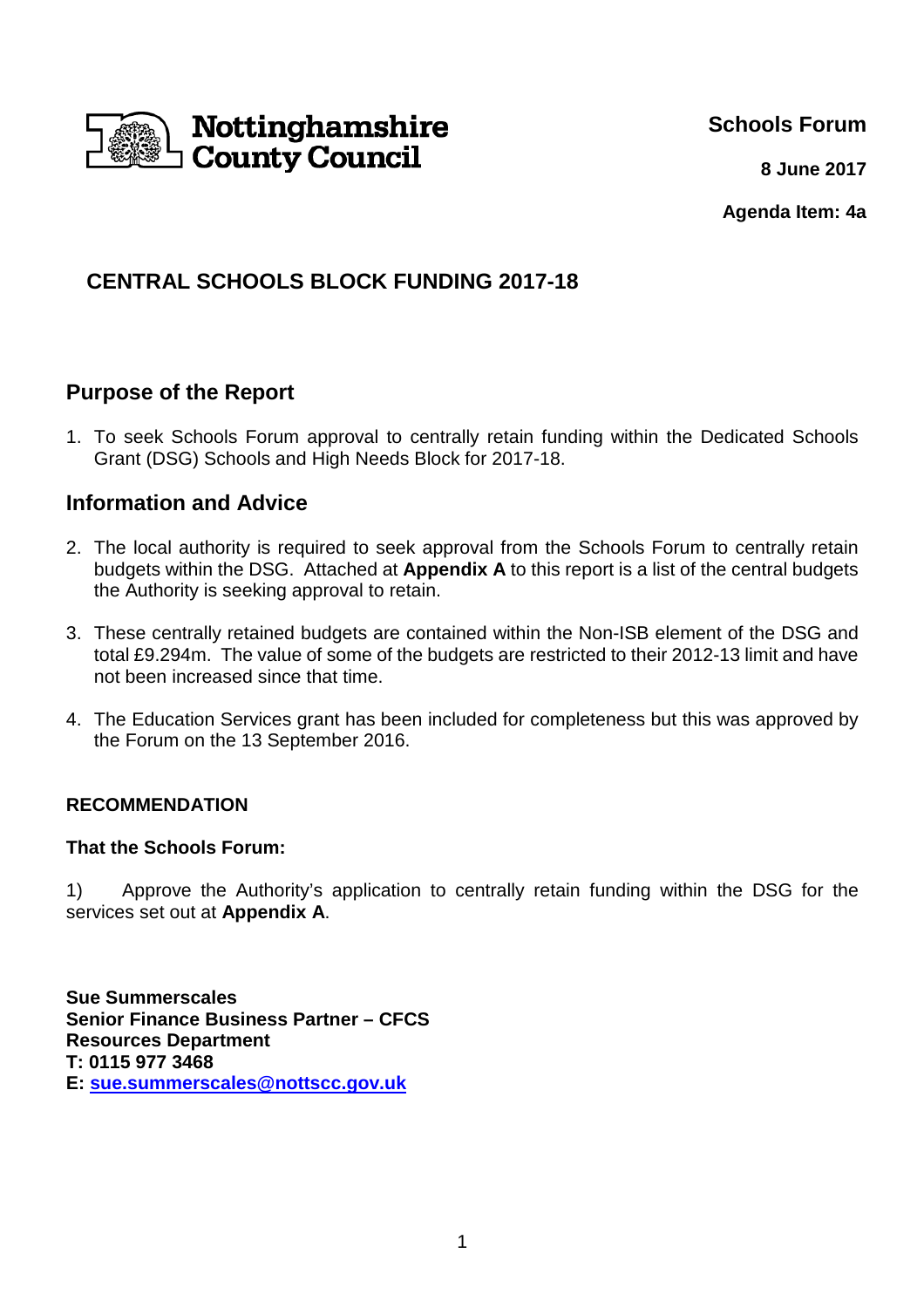

**Schools Forum**

**8 June 2017**

**Agenda Item: 4a**

# **CENTRAL SCHOOLS BLOCK FUNDING 2017-18**

## **Purpose of the Report**

1. To seek Schools Forum approval to centrally retain funding within the Dedicated Schools Grant (DSG) Schools and High Needs Block for 2017-18.

## **Information and Advice**

- 2. The local authority is required to seek approval from the Schools Forum to centrally retain budgets within the DSG. Attached at **Appendix A** to this report is a list of the central budgets the Authority is seeking approval to retain.
- 3. These centrally retained budgets are contained within the Non-ISB element of the DSG and total £9.294m. The value of some of the budgets are restricted to their 2012-13 limit and have not been increased since that time.
- 4. The Education Services grant has been included for completeness but this was approved by the Forum on the 13 September 2016.

### **RECOMMENDATION**

#### **That the Schools Forum:**

1) Approve the Authority's application to centrally retain funding within the DSG for the services set out at **Appendix A**.

**Sue Summerscales Senior Finance Business Partner – CFCS Resources Department T: 0115 977 3468 E: sue.summerscales@nottscc.gov.uk**